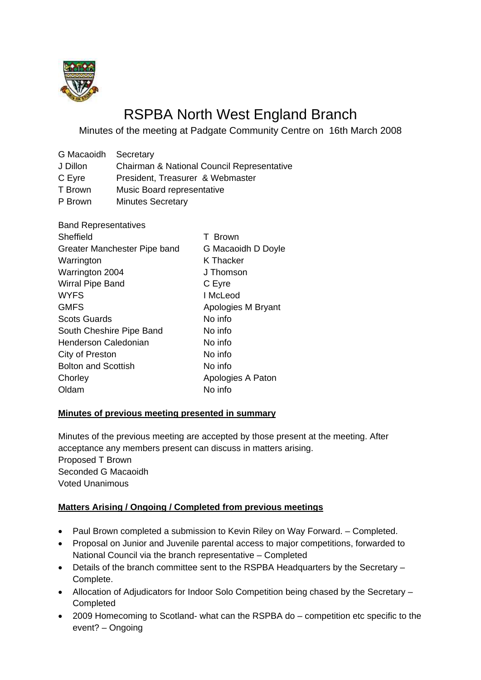

# RSPBA North West England Branch

Minutes of the meeting at Padgate Community Centre on 16th March 2008

| Chairman & National Council Representative |  |
|--------------------------------------------|--|
| President, Treasurer & Webmaster           |  |
| Music Board representative                 |  |
|                                            |  |

P Brown Minutes Secretary

| <b>Band Representatives</b>  |                    |
|------------------------------|--------------------|
| Sheffield                    | T Brown            |
| Greater Manchester Pipe band | G Macaoidh D Doyle |
| Warrington                   | K Thacker          |
| Warrington 2004              | J Thomson          |
| <b>Wirral Pipe Band</b>      | C Eyre             |
| <b>WYFS</b>                  | I McLeod           |
| <b>GMFS</b>                  | Apologies M Bryant |
| <b>Scots Guards</b>          | No info            |
| South Cheshire Pipe Band     | No info            |
| Henderson Caledonian         | No info            |
| City of Preston              | No info            |
| <b>Bolton and Scottish</b>   | No info            |
| Chorley                      | Apologies A Paton  |
| Oldam                        | No info            |
|                              |                    |

#### **Minutes of previous meeting presented in summary**

Minutes of the previous meeting are accepted by those present at the meeting. After acceptance any members present can discuss in matters arising. Proposed T Brown Seconded G Macaoidh Voted Unanimous

# **Matters Arising / Ongoing / Completed from previous meetings**

- Paul Brown completed a submission to Kevin Riley on Way Forward. Completed.
- Proposal on Junior and Juvenile parental access to major competitions, forwarded to National Council via the branch representative – Completed
- Details of the branch committee sent to the RSPBA Headquarters by the Secretary Complete.
- Allocation of Adjudicators for Indoor Solo Competition being chased by the Secretary Completed
- 2009 Homecoming to Scotland- what can the RSPBA do competition etc specific to the event? – Ongoing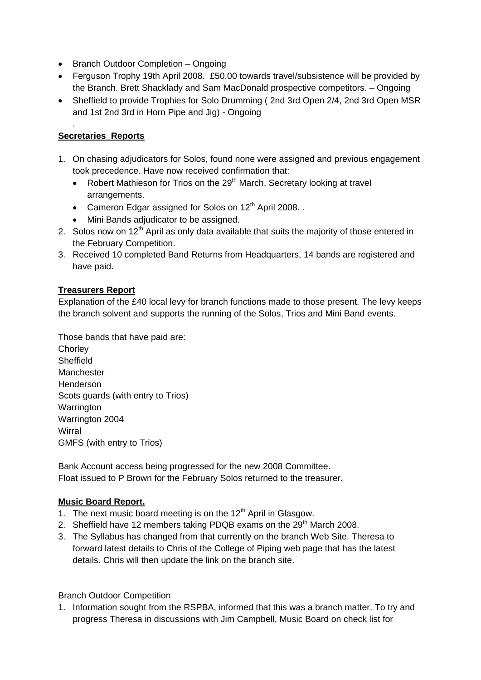- Branch Outdoor Completion Ongoing
- Ferguson Trophy 19th April 2008. £50.00 towards travel/subsistence will be provided by the Branch. Brett Shacklady and Sam MacDonald prospective competitors. – Ongoing
- Sheffield to provide Trophies for Solo Drumming ( 2nd 3rd Open 2/4, 2nd 3rd Open MSR and 1st 2nd 3rd in Horn Pipe and Jig) - Ongoing

## **Secretaries Reports**

.

- 1. On chasing adjudicators for Solos, found none were assigned and previous engagement took precedence. Have now received confirmation that:
	- Robert Mathieson for Trios on the  $29<sup>th</sup>$  March, Secretary looking at travel arrangements.
	- Cameron Edgar assigned for Solos on  $12<sup>th</sup>$  April 2008...
	- Mini Bands adjudicator to be assigned.
- 2. Solos now on  $12<sup>th</sup>$  April as only data available that suits the majority of those entered in the February Competition.
- 3. Received 10 completed Band Returns from Headquarters, 14 bands are registered and have paid.

#### **Treasurers Report**

Explanation of the £40 local levy for branch functions made to those present. The levy keeps the branch solvent and supports the running of the Solos, Trios and Mini Band events.

Those bands that have paid are: **Chorley Sheffield** Manchester Henderson Scots guards (with entry to Trios) **Warrington** Warrington 2004 **Wirral** GMFS (with entry to Trios)

Bank Account access being progressed for the new 2008 Committee. Float issued to P Brown for the February Solos returned to the treasurer.

#### **Music Board Report.**

- 1. The next music board meeting is on the  $12<sup>th</sup>$  April in Glasgow.
- 2. Sheffield have 12 members taking PDQB exams on the  $29<sup>th</sup>$  March 2008.
- 3. The Syllabus has changed from that currently on the branch Web Site. Theresa to forward latest details to Chris of the College of Piping web page that has the latest details. Chris will then update the link on the branch site.

Branch Outdoor Competition

1. Information sought from the RSPBA, informed that this was a branch matter. To try and progress Theresa in discussions with Jim Campbell, Music Board on check list for